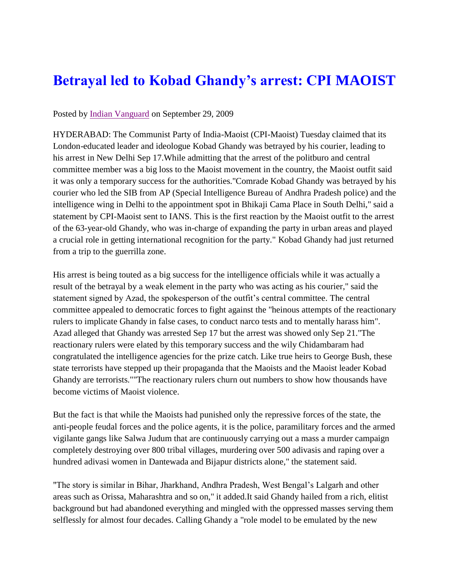## **Betrayal led to Kobad Ghandy's arrest: CPI MAOIST**

## Posted by [Indian Vanguard](http://indianvanguard.wordpress.com/2009/09/29/betrayal-led-to-kobad-ghandys-arrest-cpi-maoist/) on September 29, 2009

HYDERABAD: The Communist Party of India-Maoist (CPI-Maoist) Tuesday claimed that its London-educated leader and ideologue Kobad Ghandy was betrayed by his courier, leading to his arrest in New Delhi Sep 17.While admitting that the arrest of the politburo and central committee member was a big loss to the Maoist movement in the country, the Maoist outfit said it was only a temporary success for the authorities."Comrade Kobad Ghandy was betrayed by his courier who led the SIB from AP (Special Intelligence Bureau of Andhra Pradesh police) and the intelligence wing in Delhi to the appointment spot in Bhikaji Cama Place in South Delhi," said a statement by CPI-Maoist sent to IANS. This is the first reaction by the Maoist outfit to the arrest of the 63-year-old Ghandy, who was in-charge of expanding the party in urban areas and played a crucial role in getting international recognition for the party." Kobad Ghandy had just returned from a trip to the guerrilla zone.

His arrest is being touted as a big success for the intelligence officials while it was actually a result of the betrayal by a weak element in the party who was acting as his courier," said the statement signed by Azad, the spokesperson of the outfit's central committee. The central committee appealed to democratic forces to fight against the "heinous attempts of the reactionary rulers to implicate Ghandy in false cases, to conduct narco tests and to mentally harass him". Azad alleged that Ghandy was arrested Sep 17 but the arrest was showed only Sep 21."The reactionary rulers were elated by this temporary success and the wily Chidambaram had congratulated the intelligence agencies for the prize catch. Like true heirs to George Bush, these state terrorists have stepped up their propaganda that the Maoists and the Maoist leader Kobad Ghandy are terrorists.""The reactionary rulers churn out numbers to show how thousands have become victims of Maoist violence.

But the fact is that while the Maoists had punished only the repressive forces of the state, the anti-people feudal forces and the police agents, it is the police, paramilitary forces and the armed vigilante gangs like Salwa Judum that are continuously carrying out a mass a murder campaign completely destroying over 800 tribal villages, murdering over 500 adivasis and raping over a hundred adivasi women in Dantewada and Bijapur districts alone," the statement said.

"The story is similar in Bihar, Jharkhand, Andhra Pradesh, West Bengal's Lalgarh and other areas such as Orissa, Maharashtra and so on," it added.It said Ghandy hailed from a rich, elitist background but had abandoned everything and mingled with the oppressed masses serving them selflessly for almost four decades. Calling Ghandy a "role model to be emulated by the new